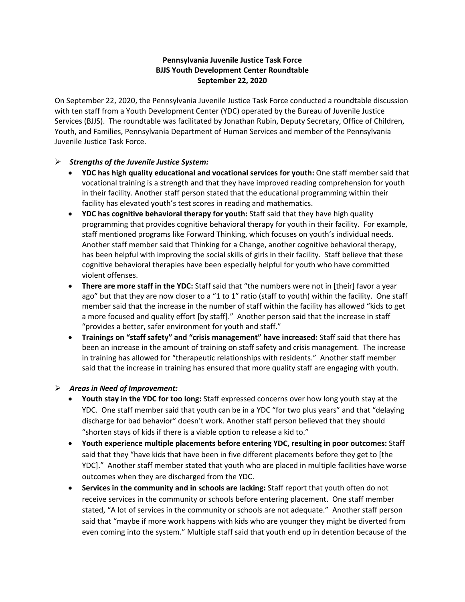## **Pennsylvania Juvenile Justice Task Force BJJS Youth Development Center Roundtable September 22, 2020**

On September 22, 2020, the Pennsylvania Juvenile Justice Task Force conducted a roundtable discussion with ten staff from a Youth Development Center (YDC) operated by the Bureau of Juvenile Justice Services (BJJS). The roundtable was facilitated by Jonathan Rubin, Deputy Secretary, Office of Children, Youth, and Families, Pennsylvania Department of Human Services and member of the Pennsylvania Juvenile Justice Task Force.

## *Strengths of the Juvenile Justice System:*

- **YDC has high quality educational and vocational services for youth:** One staff member said that vocational training is a strength and that they have improved reading comprehension for youth in their facility. Another staff person stated that the educational programming within their facility has elevated youth's test scores in reading and mathematics.
- **YDC has cognitive behavioral therapy for youth:** Staff said that they have high quality programming that provides cognitive behavioral therapy for youth in their facility. For example, staff mentioned programs like Forward Thinking, which focuses on youth's individual needs. Another staff member said that Thinking for a Change, another cognitive behavioral therapy, has been helpful with improving the social skills of girls in their facility. Staff believe that these cognitive behavioral therapies have been especially helpful for youth who have committed violent offenses.
- **There are more staff in the YDC:** Staff said that "the numbers were not in [their] favor a year ago" but that they are now closer to a "1 to 1" ratio (staff to youth) within the facility. One staff member said that the increase in the number of staff within the facility has allowed "kids to get a more focused and quality effort [by staff]." Another person said that the increase in staff "provides a better, safer environment for youth and staff."
- **Trainings on "staff safety" and "crisis management" have increased:** Staff said that there has been an increase in the amount of training on staff safety and crisis management. The increase in training has allowed for "therapeutic relationships with residents." Another staff member said that the increase in training has ensured that more quality staff are engaging with youth.

## *Areas in Need of Improvement:*

- **Youth stay in the YDC for too long:** Staff expressed concerns over how long youth stay at the YDC. One staff member said that youth can be in a YDC "for two plus years" and that "delaying discharge for bad behavior" doesn't work. Another staff person believed that they should "shorten stays of kids if there is a viable option to release a kid to."
- **Youth experience multiple placements before entering YDC, resulting in poor outcomes:** Staff said that they "have kids that have been in five different placements before they get to [the YDC]." Another staff member stated that youth who are placed in multiple facilities have worse outcomes when they are discharged from the YDC.
- **Services in the community and in schools are lacking:** Staff report that youth often do not receive services in the community or schools before entering placement. One staff member stated, "A lot of services in the community or schools are not adequate." Another staff person said that "maybe if more work happens with kids who are younger they might be diverted from even coming into the system." Multiple staff said that youth end up in detention because of the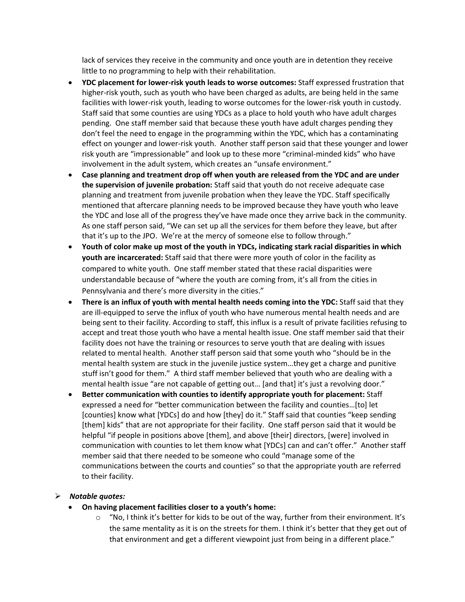lack of services they receive in the community and once youth are in detention they receive little to no programming to help with their rehabilitation.

- **YDC placement for lower-risk youth leads to worse outcomes:** Staff expressed frustration that higher-risk youth, such as youth who have been charged as adults, are being held in the same facilities with lower-risk youth, leading to worse outcomes for the lower-risk youth in custody. Staff said that some counties are using YDCs as a place to hold youth who have adult charges pending. One staff member said that because these youth have adult charges pending they don't feel the need to engage in the programming within the YDC, which has a contaminating effect on younger and lower-risk youth. Another staff person said that these younger and lower risk youth are "impressionable" and look up to these more "criminal-minded kids" who have involvement in the adult system, which creates an "unsafe environment."
- **Case planning and treatment drop off when youth are released from the YDC and are under the supervision of juvenile probation:** Staff said that youth do not receive adequate case planning and treatment from juvenile probation when they leave the YDC. Staff specifically mentioned that aftercare planning needs to be improved because they have youth who leave the YDC and lose all of the progress they've have made once they arrive back in the community. As one staff person said, "We can set up all the services for them before they leave, but after that it's up to the JPO. We're at the mercy of someone else to follow through."
- **Youth of color make up most of the youth in YDCs, indicating stark racial disparities in which youth are incarcerated:** Staff said that there were more youth of color in the facility as compared to white youth. One staff member stated that these racial disparities were understandable because of "where the youth are coming from, it's all from the cities in Pennsylvania and there's more diversity in the cities."
- **There is an influx of youth with mental health needs coming into the YDC:** Staff said that they are ill-equipped to serve the influx of youth who have numerous mental health needs and are being sent to their facility. According to staff, this influx is a result of private facilities refusing to accept and treat those youth who have a mental health issue. One staff member said that their facility does not have the training or resources to serve youth that are dealing with issues related to mental health. Another staff person said that some youth who "should be in the mental health system are stuck in the juvenile justice system…they get a charge and punitive stuff isn't good for them." A third staff member believed that youth who are dealing with a mental health issue "are not capable of getting out… [and that] it's just a revolving door."
- **Better communication with counties to identify appropriate youth for placement:** Staff expressed a need for "better communication between the facility and counties…[to] let [counties] know what [YDCs] do and how [they] do it." Staff said that counties "keep sending [them] kids" that are not appropriate for their facility. One staff person said that it would be helpful "if people in positions above [them], and above [their] directors, [were] involved in communication with counties to let them know what [YDCs] can and can't offer." Another staff member said that there needed to be someone who could "manage some of the communications between the courts and counties" so that the appropriate youth are referred to their facility.

## *Notable quotes:*

- **On having placement facilities closer to a youth's home:** 
	- $\circ$  "No, I think it's better for kids to be out of the way, further from their environment. It's the same mentality as it is on the streets for them. I think it's better that they get out of that environment and get a different viewpoint just from being in a different place."